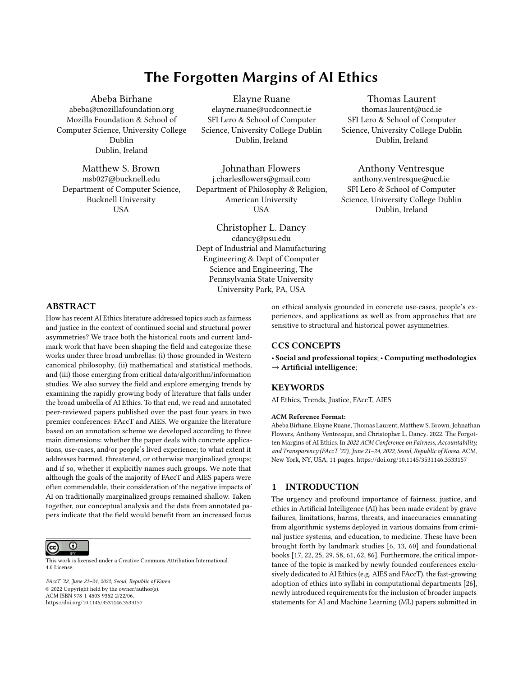# The Forgotten Margins of AI Ethics

[Abeba Birhane](https://orcid.org/0000-0001-6319-7937) abeba@mozillafoundation.org Mozilla Foundation & School of Computer Science, University College Dublin Dublin, Ireland

[Matthew S. Brown](https://orcid.org/) msb027@bucknell.edu Department of Computer Science, Bucknell University USA

[Elayne Ruane](https://orcid.org/0000-0001-7344-9763) elayne.ruane@ucdconnect.ie SFI Lero & School of Computer Science, University College Dublin Dublin, Ireland

[Johnathan Flowers](https://orcid.org/) j.charlesflowers@gmail.com Department of Philosophy & Religion, American University USA

[Christopher L. Dancy](https://orcid.org/0000-0003-2119-496X) cdancy@psu.edu Dept of Industrial and Manufacturing Engineering & Dept of Computer Science and Engineering, The Pennsylvania State University University Park, PA, USA

[Thomas Laurent](https://orcid.org/0000-0002-0953-774X) thomas.laurent@ucd.ie SFI Lero & School of Computer Science, University College Dublin Dublin, Ireland

# [Anthony Ventresque](https://orcid.org/0000-0003-2064-1238)

anthony.ventresque@ucd.ie SFI Lero & School of Computer Science, University College Dublin Dublin, Ireland

## ABSTRACT

How has recent AI Ethics literature addressed topics such as fairness and justice in the context of continued social and structural power asymmetries? We trace both the historical roots and current landmark work that have been shaping the field and categorize these works under three broad umbrellas: (i) those grounded in Western canonical philosophy, (ii) mathematical and statistical methods, and (iii) those emerging from critical data/algorithm/information studies. We also survey the field and explore emerging trends by examining the rapidly growing body of literature that falls under the broad umbrella of AI Ethics. To that end, we read and annotated peer-reviewed papers published over the past four years in two premier conferences: FAccT and AIES. We organize the literature based on an annotation scheme we developed according to three main dimensions: whether the paper deals with concrete applications, use-cases, and/or people's lived experience; to what extent it addresses harmed, threatened, or otherwise marginalized groups; and if so, whether it explicitly names such groups. We note that although the goals of the majority of FAccT and AIES papers were often commendable, their consideration of the negative impacts of AI on traditionally marginalized groups remained shallow. Taken together, our conceptual analysis and the data from annotated papers indicate that the field would benefit from an increased focus

 $\odot$ (cc)

This work is licensed under a [Creative Commons Attribution International](https://creativecommons.org/licenses/by/4.0/) [4.0 License.](https://creativecommons.org/licenses/by/4.0/)

FAccT '22, June 21–24, 2022, Seoul, Republic of Korea © 2022 Copyright held by the owner/author(s). ACM ISBN 978-1-4503-9352-2/22/06. <https://doi.org/10.1145/3531146.3533157>

on ethical analysis grounded in concrete use-cases, people's experiences, and applications as well as from approaches that are sensitive to structural and historical power asymmetries.

## CCS CONCEPTS

• Social and professional topics; • Computing methodologies  $\rightarrow$  Artificial intelligence;

## **KEYWORDS**

AI Ethics, Trends, Justice, FAccT, AIES

#### ACM Reference Format:

Abeba Birhane, Elayne Ruane, Thomas Laurent, Matthew S. Brown, Johnathan Flowers, Anthony Ventresque, and Christopher L. Dancy. 2022. The Forgotten Margins of AI Ethics. In 2022 ACM Conference on Fairness, Accountability, and Transparency (FAccT '22), June 21–24, 2022, Seoul, Republic of Korea. ACM, New York, NY, USA, [11](#page-10-0) pages.<https://doi.org/10.1145/3531146.3533157>

## 1 INTRODUCTION

The urgency and profound importance of fairness, justice, and ethics in Artificial Intelligence (AI) has been made evident by grave failures, limitations, harms, threats, and inaccuracies emanating from algorithmic systems deployed in various domains from criminal justice systems, and education, to medicine. These have been brought forth by landmark studies [\[6,](#page-9-0) [13,](#page-9-1) [60\]](#page-10-1) and foundational books [\[17,](#page-9-2) [22,](#page-9-3) [25,](#page-9-4) [29,](#page-9-5) [58,](#page-10-2) [61,](#page-10-3) [62,](#page-10-4) [86\]](#page-10-5). Furthermore, the critical importance of the topic is marked by newly founded conferences exclusively dedicated to AI Ethics (e.g. AIES and FAccT), the fast-growing adoption of ethics into syllabi in computational departments [\[26\]](#page-9-6), newly introduced requirements for the inclusion of broader impacts statements for AI and Machine Learning (ML) papers submitted in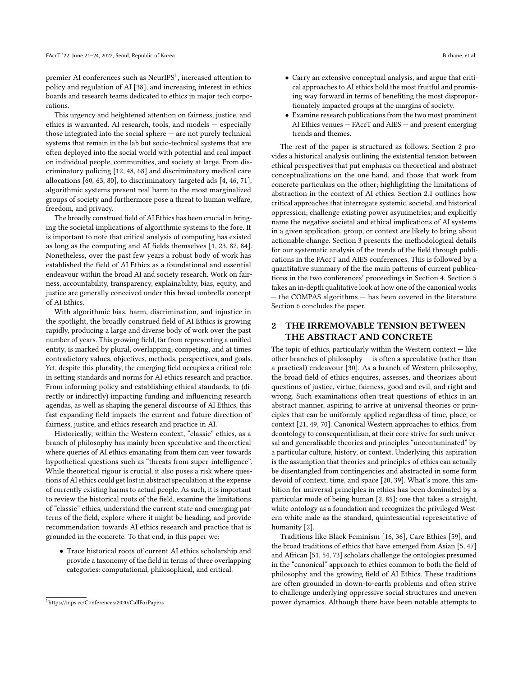premier AI conferences such as  $\mathrm{NeurlPS}^1,$  $\mathrm{NeurlPS}^1,$  $\mathrm{NeurlPS}^1,$  increased attention to policy and regulation of AI [\[38\]](#page-9-7), and increasing interest in ethics boards and research teams dedicated to ethics in major tech corporations.

This urgency and heightened attention on fairness, justice, and ethics is warranted. AI research, tools, and models — especially those integrated into the social sphere — are not purely technical systems that remain in the lab but socio-technical systems that are often deployed into the social world with potential and real impact on individual people, communities, and society at large. From discriminatory policing [\[12,](#page-9-8) [48,](#page-9-9) [68\]](#page-10-6) and discriminatory medical care allocations [\[60,](#page-10-1) [63,](#page-10-7) [80\]](#page-10-8), to discriminatory targeted ads [\[4,](#page-9-10) [46,](#page-9-11) [71\]](#page-10-9), algorithmic systems present real harm to the most marginalized groups of society and furthermore pose a threat to human welfare, freedom, and privacy.

The broadly construed field of AI Ethics has been crucial in bringing the societal implications of algorithmic systems to the fore. It is important to note that critical analysis of computing has existed as long as the computing and AI fields themselves [\[1,](#page-9-12) [23,](#page-9-13) [82,](#page-10-10) [84\]](#page-10-11). Nonetheless, over the past few years a robust body of work has established the field of AI Ethics as a foundational and essential endeavour within the broad AI and society research. Work on fairness, accountability, transparency, explainability, bias, equity, and justice are generally conceived under this broad umbrella concept of AI Ethics.

With algorithmic bias, harm, discrimination, and injustice in the spotlight, the broadly construed field of AI Ethics is growing rapidly, producing a large and diverse body of work over the past number of years. This growing field, far from representing a unified entity, is marked by plural, overlapping, competing, and at times contradictory values, objectives, methods, perspectives, and goals. Yet, despite this plurality, the emerging field occupies a critical role in setting standards and norms for AI ethics research and practice. From informing policy and establishing ethical standards, to (directly or indirectly) impacting funding and influencing research agendas, as well as shaping the general discourse of AI Ethics, this fast expanding field impacts the current and future direction of fairness, justice, and ethics research and practice in AI.

Historically, within the Western context, "classic" ethics, as a branch of philosophy has mainly been speculative and theoretical where queries of AI ethics emanating from them can veer towards hypothetical questions such as "threats from super-intelligence". While theoretical rigour is crucial, it also poses a risk where questions of AI ethics could get lost in abstract speculation at the expense of currently existing harms to actual people. As such, it is important to review the historical roots of the field, examine the limitations of "classic" ethics, understand the current state and emerging patterns of the field, explore where it might be heading, and provide recommendation towards AI ethics research and practice that is grounded in the concrete. To that end, in this paper we:

• Trace historical roots of current AI ethics scholarship and provide a taxonomy of the field in terms of three overlapping categories: computational, philosophical, and critical.

- Carry an extensive conceptual analysis, and argue that critical approaches to AI ethics hold the most fruitful and promising way forward in terms of benefiting the most disproportionately impacted groups at the margins of society.
- Examine research publications from the two most prominent AI Ethics venues — FAccT and AIES — and present emerging trends and themes.

The rest of the paper is structured as follows. Section [2](#page-1-1) provides a historical analysis outlining the existential tension between ethical perspectives that put emphasis on theoretical and abstract conceptualizations on the one hand, and those that work from concrete particulars on the other; highlighting the limitations of abstraction in the context of AI ethics. Section [2.1](#page-2-0) outlines how critical approaches that interrogate systemic, societal, and historical oppression; challenge existing power asymmetries; and explicitly name the negative societal and ethical implications of AI systems in a given application, group, or context are likely to bring about actionable change. Section [3](#page-3-0) presents the methodological details for our systematic analysis of the trends of the field through publications in the FAccT and AIES conferences. This is followed by a quantitative summary of the the main patterns of current publications in the two conferences' proceedings in Section [4.](#page-4-0) Section [5](#page-7-0) takes an in-depth qualitative look at how one of the canonical works — the COMPAS algorithms — has been covered in the literature. Section [6](#page-8-0) concludes the paper.

## <span id="page-1-1"></span>2 THE IRREMOVABLE TENSION BETWEEN THE ABSTRACT AND CONCRETE

The topic of ethics, particularly within the Western context  $-$  like other branches of philosophy  $-$  is often a speculative (rather than a practical) endeavour [\[30\]](#page-9-14). As a branch of Western philosophy, the broad field of ethics enquires, assesses, and theorizes about questions of justice, virtue, fairness, good and evil, and right and wrong. Such examinations often treat questions of ethics in an abstract manner, aspiring to arrive at universal theories or principles that can be uniformly applied regardless of time, place, or context [\[21,](#page-9-15) [49,](#page-9-16) [70\]](#page-10-12). Canonical Western approaches to ethics, from deontology to consequentialism, at their core strive for such universal and generalisable theories and principles "uncontaminated" by a particular culture, history, or context. Underlying this aspiration is the assumption that theories and principles of ethics can actually be disentangled from contingencies and abstracted in some form devoid of context, time, and space [\[20,](#page-9-17) [39\]](#page-9-18). What's more, this ambition for universal principles in ethics has been dominated by a particular mode of being human [\[2,](#page-9-19) [85\]](#page-10-13); one that takes a straight, white ontology as a foundation and recognizes the privileged Western white male as the standard, quintessential representative of humanity [\[2\]](#page-9-19).

Traditions like Black Feminism [\[16,](#page-9-20) [36\]](#page-9-21), Care Ethics [\[59\]](#page-10-14), and the broad traditions of ethics that have emerged from Asian [\[5,](#page-9-22) [47\]](#page-9-23) and African [\[51,](#page-10-15) [54,](#page-10-16) [73\]](#page-10-17) scholars challenge the ontologies presumed in the "canonical" approach to ethics common to both the field of philosophy and the growing field of AI Ethics. These traditions are often grounded in down-to-earth problems and often strive to challenge underlying oppressive social structures and uneven power dynamics. Although there have been notable attempts to

<span id="page-1-0"></span><sup>1</sup><https://nips.cc/Conferences/2020/CallForPapers>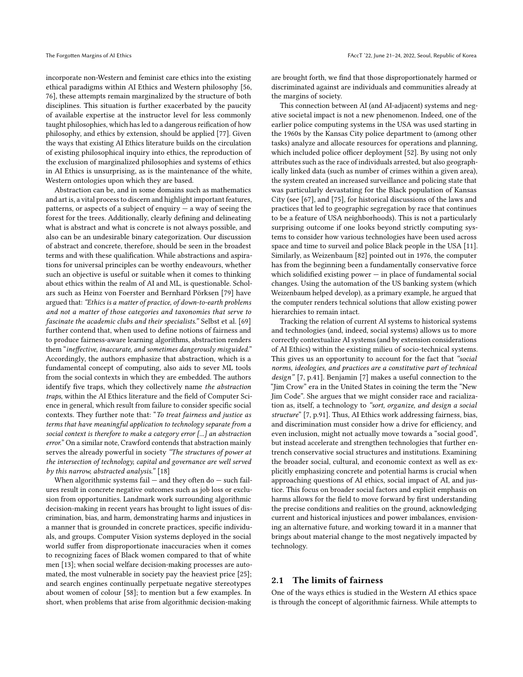taught philosophies, which has led to a dangerous reification of how philosophy, and ethics by extension, should be applied [\[77\]](#page-10-20). Given the ways that existing AI Ethics literature builds on the circulation of existing philosophical inquiry into ethics, the reproduction of the exclusion of marginalized philosophies and systems of ethics in AI Ethics is unsurprising, as is the maintenance of the white, Western ontologies upon which they are based.

Abstraction can be, and in some domains such as mathematics and art is, a vital process to discern and highlight important features, patterns, or aspects of a subject of enquiry  $-$  a way of seeing the forest for the trees. Additionally, clearly defining and delineating what is abstract and what is concrete is not always possible, and also can be an undesirable binary categorization. Our discussion of abstract and concrete, therefore, should be seen in the broadest terms and with these qualification. While abstractions and aspirations for universal principles can be worthy endeavours, whether such an objective is useful or suitable when it comes to thinking about ethics within the realm of AI and ML, is questionable. Scholars such as Heinz von Foerster and Bernhard Pörksen [\[79\]](#page-10-21) have argued that: "Ethics is a matter of practice, of down-to-earth problems and not a matter of those categories and taxonomies that serve to fascinate the academic clubs and their specialists." Selbst et al. [\[69\]](#page-10-22) further contend that, when used to define notions of fairness and to produce fairness-aware learning algorithms, abstraction renders them "ineffective, inaccurate, and sometimes dangerously misguided." Accordingly, the authors emphasize that abstraction, which is a fundamental concept of computing, also aids to sever ML tools from the social contexts in which they are embedded. The authors identify five traps, which they collectively name the abstraction traps, within the AI Ethics literature and the field of Computer Science in general, which result from failure to consider specific social contexts. They further note that: "To treat fairness and justice as terms that have meaningful application to technology separate from a social context is therefore to make a category error [...] an abstraction error." On a similar note, Crawford contends that abstraction mainly serves the already powerful in society "The structures of power at the intersection of technology, capital and governance are well served by this narrow, abstracted analysis." [\[18\]](#page-9-24)

When algorithmic systems fail  $-$  and they often do  $-$  such failures result in concrete negative outcomes such as job loss or exclusion from opportunities. Landmark work surrounding algorithmic decision-making in recent years has brought to light issues of discrimination, bias, and harm, demonstrating harms and injustices in a manner that is grounded in concrete practices, specific individuals, and groups. Computer Vision systems deployed in the social world suffer from disproportionate inaccuracies when it comes to recognizing faces of Black women compared to that of white men [\[13\]](#page-9-1); when social welfare decision-making processes are automated, the most vulnerable in society pay the heaviest price [\[25\]](#page-9-4); and search engines continually perpetuate negative stereotypes about women of colour [\[58\]](#page-10-2); to mention but a few examples. In short, when problems that arise from algorithmic decision-making

are brought forth, we find that those disproportionately harmed or discriminated against are individuals and communities already at the margins of society.

This connection between AI (and AI-adjacent) systems and negative societal impact is not a new phenomenon. Indeed, one of the earlier police computing systems in the USA was used starting in the 1960s by the Kansas City police department to (among other tasks) analyze and allocate resources for operations and planning, which included police officer deployment [\[52\]](#page-10-23). By using not only attributes such as the race of individuals arrested, but also geographically linked data (such as number of crimes within a given area), the system created an increased surveillance and policing state that was particularly devastating for the Black population of Kansas City (see [\[67\]](#page-10-24), and [\[75\]](#page-10-25), for historical discussions of the laws and practices that led to geographic segregation by race that continues to be a feature of USA neighborhoods). This is not a particularly surprising outcome if one looks beyond strictly computing systems to consider how various technologies have been used across space and time to surveil and police Black people in the USA [\[11\]](#page-9-25). Similarly, as Weizenbaum [\[82\]](#page-10-10) pointed out in 1976, the computer has from the beginning been a fundamentally conservative force which solidified existing  $power - in place of fundamental social$ changes. Using the automation of the US banking system (which Weizenbaum helped develop), as a primary example, he argued that the computer renders technical solutions that allow existing power hierarchies to remain intact.

Tracking the relation of current AI systems to historical systems and technologies (and, indeed, social systems) allows us to more correctly contextualize AI systems (and by extension considerations of AI Ethics) within the existing milieu of socio-technical systems. This gives us an opportunity to account for the fact that "social norms, ideologies, and practices are a constitutive part of technical design" [\[7,](#page-9-26) p.41]. Benjamin [\[7\]](#page-9-26) makes a useful connection to the "Jim Crow" era in the United States in coining the term the "New Jim Code". She argues that we might consider race and racialization as, itself, a technology to "sort, organize, and design a social structure" [\[7,](#page-9-26) p.91]. Thus, AI Ethics work addressing fairness, bias, and discrimination must consider how a drive for efficiency, and even inclusion, might not actually move towards a "social good", but instead accelerate and strengthen technologies that further entrench conservative social structures and institutions. Examining the broader social, cultural, and economic context as well as explicitly emphasizing concrete and potential harms is crucial when approaching questions of AI ethics, social impact of AI, and justice. This focus on broader social factors and explicit emphasis on harms allows for the field to move forward by first understanding the precise conditions and realities on the ground, acknowledging current and historical injustices and power imbalances, envisioning an alternative future, and working toward it in a manner that brings about material change to the most negatively impacted by technology.

## <span id="page-2-0"></span>2.1 The limits of fairness

One of the ways ethics is studied in the Western AI ethics space is through the concept of algorithmic fairness. While attempts to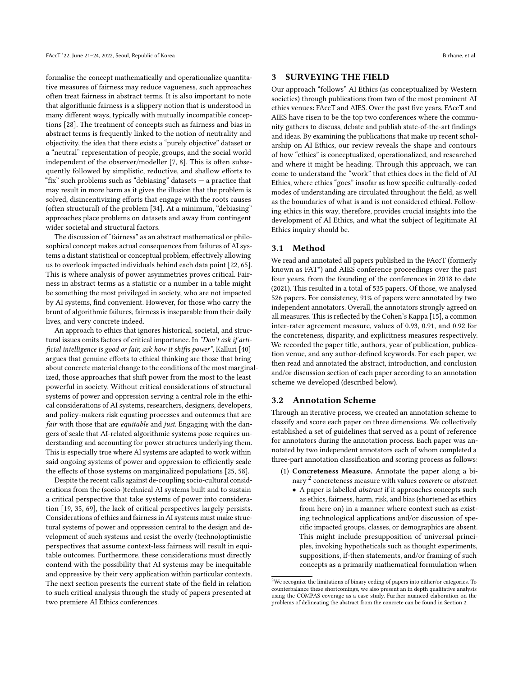formalise the concept mathematically and operationalize quantitative measures of fairness may reduce vagueness, such approaches often treat fairness in abstract terms. It is also important to note that algorithmic fairness is a slippery notion that is understood in many different ways, typically with mutually incompatible conceptions [\[28\]](#page-9-27). The treatment of concepts such as fairness and bias in abstract terms is frequently linked to the notion of neutrality and objectivity, the idea that there exists a "purely objective" dataset or a "neutral" representation of people, groups, and the social world independent of the observer/modeller [\[7,](#page-9-26) [8\]](#page-9-28). This is often subsequently followed by simplistic, reductive, and shallow efforts to "fix" such problems such as "debiasing" datasets — a practice that may result in more harm as it gives the illusion that the problem is solved, disincentivizing efforts that engage with the roots causes (often structural) of the problem [\[34\]](#page-9-29). At a minimum, "debiasing" approaches place problems on datasets and away from contingent wider societal and structural factors.

The discussion of "fairness" as an abstract mathematical or philosophical concept makes actual consequences from failures of AI systems a distant statistical or conceptual problem, effectively allowing us to overlook impacted individuals behind each data point [\[22,](#page-9-3) [65\]](#page-10-26). This is where analysis of power asymmetries proves critical. Fairness in abstract terms as a statistic or a number in a table might be something the most privileged in society, who are not impacted by AI systems, find convenient. However, for those who carry the brunt of algorithmic failures, fairness is inseparable from their daily lives, and very concrete indeed.

An approach to ethics that ignores historical, societal, and structural issues omits factors of critical importance. In "Don't ask if artificial intelligence is good or fair, ask how it shifts power", Kalluri [\[40\]](#page-9-30) argues that genuine efforts to ethical thinking are those that bring about concrete material change to the conditions of the most marginalized, those approaches that shift power from the most to the least powerful in society. Without critical considerations of structural systems of power and oppression serving a central role in the ethical considerations of AI systems, researchers, designers, developers, and policy-makers risk equating processes and outcomes that are fair with those that are equitable and just. Engaging with the dangers of scale that AI-related algorithmic systems pose requires understanding and accounting for power structures underlying them. This is especially true where AI systems are adapted to work within said ongoing systems of power and oppression to efficiently scale the effects of those systems on marginalized populations [\[25,](#page-9-4) [58\]](#page-10-2).

Despite the recent calls against de-coupling socio-cultural considerations from the (socio-)technical AI systems built and to sustain a critical perspective that take systems of power into consideration [\[19,](#page-9-31) [35,](#page-9-32) [69\]](#page-10-22), the lack of critical perspectives largely persists. Considerations of ethics and fairness in AI systems must make structural systems of power and oppression central to the design and development of such systems and resist the overly (techno)optimistic perspectives that assume context-less fairness will result in equitable outcomes. Furthermore, these considerations must directly contend with the possibility that AI systems may be inequitable and oppressive by their very application within particular contexts. The next section presents the current state of the field in relation to such critical analysis through the study of papers presented at two premiere AI Ethics conferences.

## <span id="page-3-0"></span>3 SURVEYING THE FIELD

Our approach "follows" AI Ethics (as conceptualized by Western societies) through publications from two of the most prominent AI ethics venues: FAccT and AIES. Over the past five years, FAccT and AIES have risen to be the top two conferences where the community gathers to discuss, debate and publish state-of-the-art findings and ideas. By examining the publications that make up recent scholarship on AI Ethics, our review reveals the shape and contours of how "ethics" is conceptualized, operationalized, and researched and where it might be heading. Through this approach, we can come to understand the "work" that ethics does in the field of AI Ethics, where ethics "goes" insofar as how specific culturally-coded modes of understanding are circulated throughout the field, as well as the boundaries of what is and is not considered ethical. Following ethics in this way, therefore, provides crucial insights into the development of AI Ethics, and what the subject of legitimate AI Ethics inquiry should be.

#### 3.1 Method

We read and annotated all papers published in the FAccT (formerly known as FAT\*) and AIES conference proceedings over the past four years, from the founding of the conferences in 2018 to date (2021). This resulted in a total of 535 papers. Of those, we analysed 526 papers. For consistency, 91% of papers were annotated by two independent annotators. Overall, the annotators strongly agreed on all measures. This is reflected by the Cohen's Kappa [\[15\]](#page-9-33), a common inter-rater agreement measure, values of 0.93, 0.91, and 0.92 for the concreteness, disparity, and explicitness measures respectively. We recorded the paper title, authors, year of publication, publication venue, and any author-defined keywords. For each paper, we then read and annotated the abstract, introduction, and conclusion and/or discussion section of each paper according to an annotation scheme we developed (described below).

#### 3.2 Annotation Scheme

Through an iterative process, we created an annotation scheme to classify and score each paper on three dimensions. We collectively established a set of guidelines that served as a point of reference for annotators during the annotation process. Each paper was annotated by two independent annotators each of whom completed a three-part annotation classification and scoring process as follows:

- (1) Concreteness Measure. Annotate the paper along a bi-nary <sup>[2](#page-3-1)</sup> concreteness measure with values *concrete* or *abstract*.
	- A paper is labelled abstract if it approaches concepts such as ethics, fairness, harm, risk, and bias (shortened as ethics from here on) in a manner where context such as existing technological applications and/or discussion of specific impacted groups, classes, or demographics are absent. This might include presupposition of universal principles, invoking hypotheticals such as thought experiments, suppositions, if-then statements, and/or framing of such concepts as a primarily mathematical formulation when

<span id="page-3-1"></span> $^2\rm{We}$  recognize the limitations of binary coding of papers into either/or categories. To counterbalance these shortcomings, we also present an in depth qualitative analysis using the COMPAS coverage as a case study. Further nuanced elaboration on the problems of delineating the abstract from the concrete can be found in Section [2.](#page-1-1)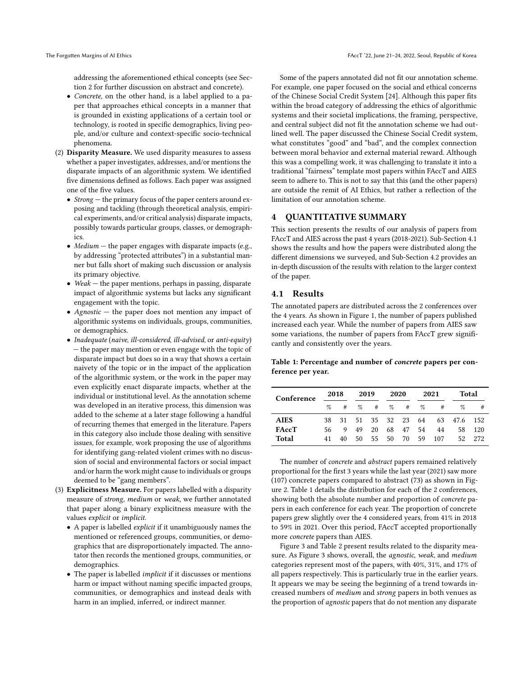addressing the aforementioned ethical concepts (see Section [2](#page-1-1) for further discussion on abstract and concrete).

- Concrete, on the other hand, is a label applied to a paper that approaches ethical concepts in a manner that is grounded in existing applications of a certain tool or technology, is rooted in specific demographics, living people, and/or culture and context-specific socio-technical phenomena.
- (2) Disparity Measure. We used disparity measures to assess whether a paper investigates, addresses, and/or mentions the disparate impacts of an algorithmic system. We identified five dimensions defined as follows. Each paper was assigned one of the five values.
	- Strong the primary focus of the paper centers around exposing and tackling (through theoretical analysis, empirical experiments, and/or critical analysis) disparate impacts, possibly towards particular groups, classes, or demographics.
	- Medium  $-$  the paper engages with disparate impacts (e.g., by addressing "protected attributes") in a substantial manner but falls short of making such discussion or analysis its primary objective.
	- Weak  $-$  the paper mentions, perhaps in passing, disparate impact of algorithmic systems but lacks any significant engagement with the topic.
	- Agnostic  $-$  the paper does not mention any impact of algorithmic systems on individuals, groups, communities, or demographics.
	- Inadequate (naive, ill-considered, ill-advised, or anti-equity) — the paper may mention or even engage with the topic of disparate impact but does so in a way that shows a certain naivety of the topic or in the impact of the application of the algorithmic system, or the work in the paper may even explicitly enact disparate impacts, whether at the individual or institutional level. As the annotation scheme was developed in an iterative process, this dimension was added to the scheme at a later stage following a handful of recurring themes that emerged in the literature. Papers in this category also include those dealing with sensitive issues, for example, work proposing the use of algorithms for identifying gang-related violent crimes with no discussion of social and environmental factors or social impact and/or harm the work might cause to individuals or groups deemed to be "gang members".
- (3) Explicitness Measure. For papers labelled with a disparity measure of strong, medium or weak, we further annotated that paper along a binary explicitness measure with the values explicit or implicit.
	- A paper is labelled explicit if it unambiguously names the mentioned or referenced groups, communities, or demographics that are disproportionately impacted. The annotator then records the mentioned groups, communities, or demographics.
	- The paper is labelled implicit if it discusses or mentions harm or impact without naming specific impacted groups, communities, or demographics and instead deals with harm in an implied, inferred, or indirect manner.

Some of the papers annotated did not fit our annotation scheme. For example, one paper focused on the social and ethical concerns of the Chinese Social Credit System [\[24\]](#page-9-34). Although this paper fits within the broad category of addressing the ethics of algorithmic systems and their societal implications, the framing, perspective, and central subject did not fit the annotation scheme we had outlined well. The paper discussed the Chinese Social Credit system, what constitutes "good" and "bad", and the complex connection between moral behavior and external material reward. Although this was a compelling work, it was challenging to translate it into a traditional "fairness" template most papers within FAccT and AIES seem to adhere to. This is not to say that this (and the other papers) are outside the remit of AI Ethics, but rather a reflection of the limitation of our annotation scheme.

# <span id="page-4-0"></span>4 QUANTITATIVE SUMMARY

This section presents the results of our analysis of papers from FAccT and AIES across the past 4 years (2018-2021). Sub-Section [4.1](#page-4-1) shows the results and how the papers were distributed along the different dimensions we surveyed, and Sub-Section [4.2](#page-5-0) provides an in-depth discussion of the results with relation to the larger context of the paper.

## <span id="page-4-1"></span>4.1 Results

The annotated papers are distributed across the 2 conferences over the 4 years. As shown in Figure [1,](#page-5-1) the number of papers published increased each year. While the number of papers from AIES saw some variations, the number of papers from FAccT grew significantly and consistently over the years.

<span id="page-4-2"></span>Table 1: Percentage and number of concrete papers per conference per year.

| Conference   | 2018 |        | 2019              |        | 2020 |          | 2021 |     | Total       |        |
|--------------|------|--------|-------------------|--------|------|----------|------|-----|-------------|--------|
|              |      | $\%$ # |                   | $\%$ # |      | $\%$ #   | $\%$ | #   | %           | #      |
| <b>AIES</b>  | 38.  |        | 31 51 35 32 23 64 |        |      |          |      |     | 63 47.6 152 |        |
| <b>FAccT</b> | 56   | 9      | 49                | 20     |      | 68 47    | 54   | 44  | 58          | 120    |
| Total        | 41   | 40     | 50                | 55     |      | 50 70 59 |      | 107 |             | 52 272 |

The number of concrete and abstract papers remained relatively proportional for the first 3 years while the last year (2021) saw more (107) concrete papers compared to abstract (73) as shown in Figure [2.](#page-5-1) Table [1](#page-4-2) details the distribution for each of the 2 conferences, showing both the absolute number and proportion of concrete papers in each conference for each year. The proportion of concrete papers grew slightly over the 4 considered years, from 41% in 2018 to 59% in 2021. Over this period, FAccT accepted proportionally more concrete papers than AIES.

Figure [3](#page-6-0) and Table [2](#page-5-2) present results related to the disparity measure. As Figure [3](#page-6-0) shows, overall, the agnostic, weak, and medium categories represent most of the papers, with 40%, 31%, and 17% of all papers respectively. This is particularly true in the earlier years. It appears we may be seeing the beginning of a trend towards increased numbers of medium and strong papers in both venues as the proportion of agnostic papers that do not mention any disparate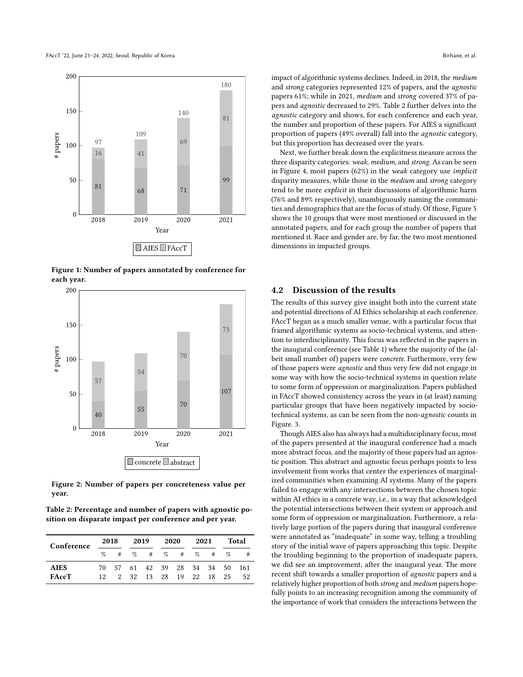<span id="page-5-1"></span>

Figure 1: Number of papers annotated by conference for each year.



Figure 2: Number of papers per concreteness value per year.

<span id="page-5-2"></span>Table 2: Percentage and number of papers with agnostic position on disparate impact per conference and per year.

| Conference   | 2018 |                                | 2019 |                     | 2020 |  | 2021 |  | Total |    |
|--------------|------|--------------------------------|------|---------------------|------|--|------|--|-------|----|
|              |      | $\%$ # $\%$ # $\%$ # $\%$ #    |      |                     |      |  |      |  | $\%$  | #  |
| <b>AIES</b>  |      | 70 57 61 42 39 28 34 34 50 161 |      |                     |      |  |      |  |       |    |
| <b>FAccT</b> | 12.  |                                |      | 2 32 13 28 19 22 18 |      |  |      |  | 25    | 52 |

impact of algorithmic systems declines. Indeed, in 2018, the medium and strong categories represented 12% of papers, and the agnostic papers 61%; while in 2021, medium and strong covered 37% of papers and agnostic decreased to 29%. Table [2](#page-5-2) further delves into the agnostic category and shows, for each conference and each year, the number and proportion of these papers. For AIES a significant proportion of papers (49% overall) fall into the agnostic category, but this proportion has decreased over the years.

Next, we further break down the explicitness measure across the three disparity categories: weak, medium, and strong. As can be seen in Figure [4,](#page-7-1) most papers (62%) in the weak category use implicit disparity measures, while those in the medium and strong category tend to be more explicit in their discussions of algorithmic harm (76% and 89% respectively), unambiguously naming the communities and demographics that are the focus of study. Of those, Figure [5](#page-7-1) shows the 10 groups that were most mentioned or discussed in the annotated papers, and for each group the number of papers that mentioned it. Race and gender are, by far, the two most mentioned dimensions in impacted groups.

#### <span id="page-5-0"></span>4.2 Discussion of the results

The results of this survey give insight both into the current state and potential directions of AI Ethics scholarship at each conference. FAccT began as a much smaller venue, with a particular focus that framed algorithmic systems as socio-technical systems, and attention to interdisciplinarity. This focus was reflected in the papers in the inaugural conference (see Table [1\)](#page-4-2) where the majority of the (albeit small number of) papers were concrete. Furthermore, very few of those papers were agnostic and thus very few did not engage in some way with how the socio-technical systems in question relate to some form of oppression or marginalization. Papers published in FAccT showed consistency across the years in (at least) naming particular groups that have been negatively impacted by sociotechnical systems, as can be seen from the non-agnostic counts in Figure. [3.](#page-6-0)

Though AIES also has always had a multidisciplinary focus, most of the papers presented at the inaugural conference had a much more abstract focus, and the majority of those papers had an agnostic position. This abstract and agnostic focus perhaps points to less involvement from works that center the experiences of marginalized communities when examining AI systems. Many of the papers failed to engage with any intersections between the chosen topic within AI ethics in a concrete way, i.e., in a way that acknowledged the potential intersections between their system or approach and some form of oppression or marginalization. Furthermore, a relatively large portion of the papers during that inaugural conference were annotated as "inadequate" in some way, telling a troubling story of the initial wave of papers approaching this topic. Despite the troubling beginning to the proportion of inadequate papers, we did see an improvement, after the inaugural year. The more recent shift towards a smaller proportion of agnostic papers and a relatively higher proportion of both strong and medium papers hopefully points to an increasing recognition among the community of the importance of work that considers the interactions between the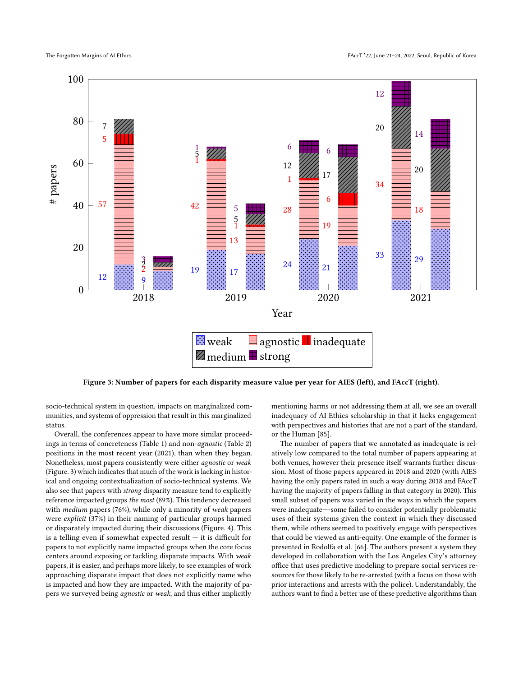<span id="page-6-0"></span>

Figure 3: Number of papers for each disparity measure value per year for AIES (left), and FAccT (right).

socio-technical system in question, impacts on marginalized communities, and systems of oppression that result in this marginalized status.

Overall, the conferences appear to have more similar proceedings in terms of concreteness (Table [1\)](#page-4-2) and non-agnostic (Table [2\)](#page-5-2) positions in the most recent year (2021), than when they began. Nonetheless, most papers consistently were either agnostic or weak (Figure. [3\)](#page-6-0) which indicates that much of the work is lacking in historical and ongoing contextualization of socio-technical systems. We also see that papers with strong disparity measure tend to explicitly reference impacted groups the most (89%). This tendency decreased with medium papers (76%), while only a minority of weak papers were explicit (37%) in their naming of particular groups harmed or disparately impacted during their discussions (Figure. [4\)](#page-7-1). This is a telling even if somewhat expected result  $-$  it is difficult for papers to not explicitly name impacted groups when the core focus centers around exposing or tackling disparate impacts. With weak papers, it is easier, and perhaps more likely, to see examples of work approaching disparate impact that does not explicitly name who is impacted and how they are impacted. With the majority of papers we surveyed being agnostic or weak, and thus either implicitly

mentioning harms or not addressing them at all, we see an overall inadequacy of AI Ethics scholarship in that it lacks engagement with perspectives and histories that are not a part of the standard, or the Human [\[85\]](#page-10-13).

The number of papers that we annotated as inadequate is relatively low compared to the total number of papers appearing at both venues, however their presence itself warrants further discussion. Most of those papers appeared in 2018 and 2020 (with AIES having the only papers rated in such a way during 2018 and FAccT having the majority of papers falling in that category in 2020). This small subset of papers was varied in the ways in which the papers were inadequate—-some failed to consider potentially problematic uses of their systems given the context in which they discussed them, while others seemed to positively engage with perspectives that could be viewed as anti-equity. One example of the former is presented in Rodolfa et al. [\[66\]](#page-10-27). The authors present a system they developed in collaboration with the Los Angeles City's attorney office that uses predictive modeling to prepare social services resources for those likely to be re-arrested (with a focus on those with prior interactions and arrests with the police). Understandably, the authors want to find a better use of these predictive algorithms than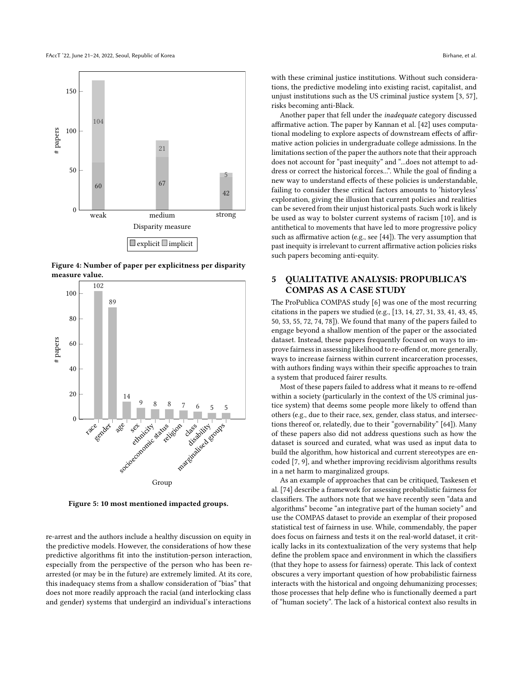<span id="page-7-1"></span>

Figure 4: Number of paper per explicitness per disparity measure value.



Figure 5: 10 most mentioned impacted groups.

re-arrest and the authors include a healthy discussion on equity in the predictive models. However, the considerations of how these predictive algorithms fit into the institution-person interaction, especially from the perspective of the person who has been rearrested (or may be in the future) are extremely limited. At its core, this inadequacy stems from a shallow consideration of "bias" that does not more readily approach the racial (and interlocking class and gender) systems that undergird an individual's interactions

with these criminal justice institutions. Without such considerations, the predictive modeling into existing racist, capitalist, and unjust institutions such as the US criminal justice system [\[3,](#page-9-35) [57\]](#page-10-28), risks becoming anti-Black.

Another paper that fell under the inadequate category discussed affirmative action. The paper by Kannan et al. [\[42\]](#page-9-36) uses computational modeling to explore aspects of downstream effects of affirmative action policies in undergraduate college admissions. In the limitations section of the paper the authors note that their approach does not account for "past inequity" and "...does not attempt to address or correct the historical forces...". While the goal of finding a new way to understand effects of these policies is understandable, failing to consider these critical factors amounts to 'historyless' exploration, giving the illusion that current policies and realities can be severed from their unjust historical pasts. Such work is likely be used as way to bolster current systems of racism [\[10\]](#page-9-37), and is antithetical to movements that have led to more progressive policy such as affirmative action (e.g., see [\[44\]](#page-9-38)). The very assumption that past inequity is irrelevant to current affirmative action policies risks such papers becoming anti-equity.

## <span id="page-7-0"></span>5 QUALITATIVE ANALYSIS: PROPUBLICA'S COMPAS AS A CASE STUDY

The ProPublica COMPAS study [\[6\]](#page-9-0) was one of the most recurring citations in the papers we studied (e.g., [\[13,](#page-9-1) [14,](#page-9-39) [27,](#page-9-40) [31,](#page-9-41) [33,](#page-9-42) [41,](#page-9-43) [43,](#page-9-44) [45,](#page-9-45) [50,](#page-9-46) [53,](#page-10-29) [55,](#page-10-30) [72,](#page-10-31) [74,](#page-10-32) [78\]](#page-10-33)). We found that many of the papers failed to engage beyond a shallow mention of the paper or the associated dataset. Instead, these papers frequently focused on ways to improve fairness in assessing likelihood to re-offend or, more generally, ways to increase fairness within current incarceration processes, with authors finding ways within their specific approaches to train a system that produced fairer results.

Most of these papers failed to address what it means to re-offend within a society (particularly in the context of the US criminal justice system) that deems some people more likely to offend than others (e.g., due to their race, sex, gender, class status, and intersections thereof or, relatedly, due to their "governability" [\[64\]](#page-10-34)). Many of these papers also did not address questions such as how the dataset is sourced and curated, what was used as input data to build the algorithm, how historical and current stereotypes are encoded [\[7,](#page-9-26) [9\]](#page-9-47), and whether improving recidivism algorithms results in a net harm to marginalized groups.

As an example of approaches that can be critiqued, Taskesen et al. [\[74\]](#page-10-32) describe a framework for assessing probabilistic fairness for classifiers. The authors note that we have recently seen "data and algorithms" become "an integrative part of the human society" and use the COMPAS dataset to provide an exemplar of their proposed statistical test of fairness in use. While, commendably, the paper does focus on fairness and tests it on the real-world dataset, it critically lacks in its contextualization of the very systems that help define the problem space and environment in which the classifiers (that they hope to assess for fairness) operate. This lack of context obscures a very important question of how probabilistic fairness interacts with the historical and ongoing dehumanizing processes; those processes that help define who is functionally deemed a part of "human society". The lack of a historical context also results in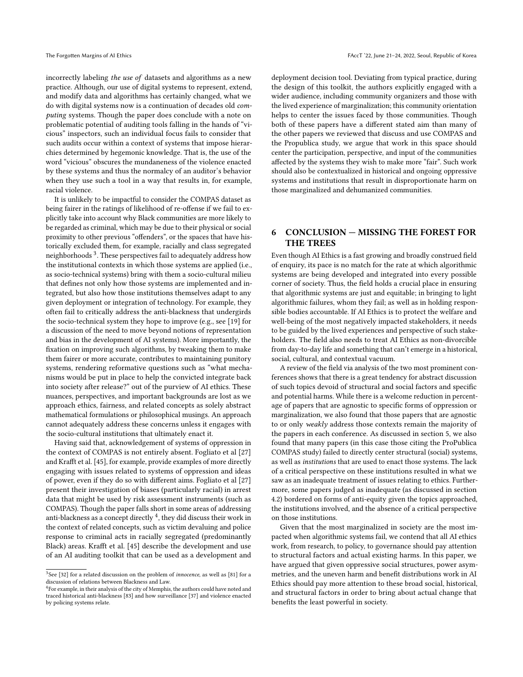incorrectly labeling the use of datasets and algorithms as a new practice. Although, our use of digital systems to represent, extend, and modify data and algorithms has certainly changed, what we do with digital systems now is a continuation of decades old computing systems. Though the paper does conclude with a note on problematic potential of auditing tools falling in the hands of "vicious" inspectors, such an individual focus fails to consider that such audits occur within a context of systems that impose hierarchies determined by hegemonic knowledge. That is, the use of the word "vicious" obscures the mundaneness of the violence enacted by these systems and thus the normalcy of an auditor's behavior when they use such a tool in a way that results in, for example, racial violence.

It is unlikely to be impactful to consider the COMPAS dataset as being fairer in the ratings of likelihood of re-offense if we fail to explicitly take into account why Black communities are more likely to be regarded as criminal, which may be due to their physical or social proximity to other previous "offenders", or the spaces that have historically excluded them, for example, racially and class segregated neighborhoods [3](#page-8-1) . These perspectives fail to adequately address how the institutional contexts in which those systems are applied (i.e., as socio-technical systems) bring with them a socio-cultural milieu that defines not only how those systems are implemented and integrated, but also how those institutions themselves adapt to any given deployment or integration of technology. For example, they often fail to critically address the anti-blackness that undergirds the socio-technical system they hope to improve (e.g., see [\[19\]](#page-9-31) for a discussion of the need to move beyond notions of representation and bias in the development of AI systems). More importantly, the fixation on improving such algorithms, by tweaking them to make them fairer or more accurate, contributes to maintaining punitory systems, rendering reformative questions such as "what mechanisms would be put in place to help the convicted integrate back into society after release?" out of the purview of AI ethics. These nuances, perspectives, and important backgrounds are lost as we approach ethics, fairness, and related concepts as solely abstract mathematical formulations or philosophical musings. An approach cannot adequately address these concerns unless it engages with the socio-cultural institutions that ultimately enact it.

Having said that, acknowledgement of systems of oppression in the context of COMPAS is not entirely absent. Fogliato et al [\[27\]](#page-9-40) and Krafft et al. [\[45\]](#page-9-45), for example, provide examples of more directly engaging with issues related to systems of oppression and ideas of power, even if they do so with different aims. Fogliato et al [\[27\]](#page-9-40) present their investigation of biases (particularly racial) in arrest data that might be used by risk assessment instruments (such as COMPAS). Though the paper falls short in some areas of addressing anti-blackness as a concept directly [4](#page-8-2) , they did discuss their work in the context of related concepts, such as victim devaluing and police response to criminal acts in racially segregated (predominantly Black) areas. Krafft et al. [\[45\]](#page-9-45) describe the development and use of an AI auditing toolkit that can be used as a development and

deployment decision tool. Deviating from typical practice, during the design of this toolkit, the authors explicitly engaged with a wider audience, including community organizers and those with the lived experience of marginalization; this community orientation helps to center the issues faced by those communities. Though both of these papers have a different stated aim than many of the other papers we reviewed that discuss and use COMPAS and the Propublica study, we argue that work in this space should center the participation, perspective, and input of the communities affected by the systems they wish to make more "fair". Such work should also be contextualized in historical and ongoing oppressive systems and institutions that result in disproportionate harm on those marginalized and dehumanized communities.

# <span id="page-8-0"></span>6 CONCLUSION — MISSING THE FOREST FOR THE TREES

Even though AI Ethics is a fast growing and broadly construed field of enquiry, its pace is no match for the rate at which algorithmic systems are being developed and integrated into every possible corner of society. Thus, the field holds a crucial place in ensuring that algorithmic systems are just and equitable; in bringing to light algorithmic failures, whom they fail; as well as in holding responsible bodies accountable. If AI Ethics is to protect the welfare and well-being of the most negatively impacted stakeholders, it needs to be guided by the lived experiences and perspective of such stakeholders. The field also needs to treat AI Ethics as non-divorcible from day-to-day life and something that can't emerge in a historical, social, cultural, and contextual vacuum.

A review of the field via analysis of the two most prominent conferences shows that there is a great tendency for abstract discussion of such topics devoid of structural and social factors and specific and potential harms. While there is a welcome reduction in percentage of papers that are agnostic to specific forms of oppression or marginalization, we also found that those papers that are agnostic to or only weakly address those contexts remain the majority of the papers in each conference. As discussed in section [5,](#page-7-0) we also found that many papers (in this case those citing the ProPublica COMPAS study) failed to directly center structural (social) systems, as well as institutions that are used to enact those systems. The lack of a critical perspective on these institutions resulted in what we saw as an inadequate treatment of issues relating to ethics. Furthermore, some papers judged as inadequate (as discussed in section [4.2\)](#page-5-0) bordered on forms of anti-equity given the topics approached, the institutions involved, and the absence of a critical perspective on those institutions.

Given that the most marginalized in society are the most impacted when algorithmic systems fail, we contend that all AI ethics work, from research, to policy, to governance should pay attention to structural factors and actual existing harms. In this paper, we have argued that given oppressive social structures, power asymmetries, and the uneven harm and benefit distributions work in AI Ethics should pay more attention to these broad social, historical, and structural factors in order to bring about actual change that benefits the least powerful in society.

<span id="page-8-1"></span> $3$ See [\[32\]](#page-9-48) for a related discussion on the problem of *innocence*, as well as [\[81\]](#page-10-35) for a discussion of relations between Blackness and Law.

<span id="page-8-2"></span><sup>&</sup>lt;sup>4</sup>For example, in their analysis of the city of Memphis, the authors could have noted and traced historical anti-blackness [\[83\]](#page-10-36) and how surveillance [\[37\]](#page-9-49) and violence enacted by policing systems relate.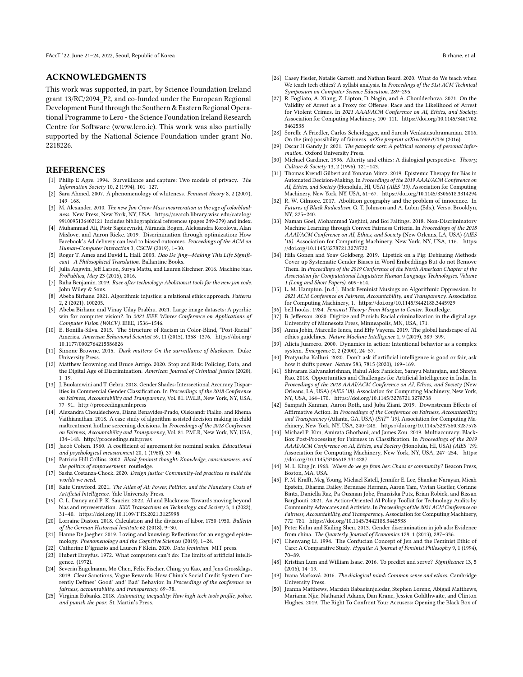#### ACKNOWLEDGMENTS

This work was supported, in part, by Science Foundation Ireland grant 13/RC/2094\_P2, and co-funded under the European Regional Development Fund through the Southern & Eastern Regional Operational Programme to Lero - the Science Foundation Ireland Research Centre for Software (www.lero.ie). This work was also partially supported by the National Science Foundation under grant No. 2218226.

### **REFERENCES**

- <span id="page-9-12"></span>[1] Philip E Agre. 1994. Surveillance and capture: Two models of privacy. The Information Society 10, 2 (1994), 101–127.
- <span id="page-9-19"></span>[2] Sara Ahmed. 2007. A phenomenology of whiteness. Feminist theory 8, 2 (2007), 149–168.
- <span id="page-9-35"></span>[3] M. Alexander. 2010. The new Jim Crow: Mass incarceration in the age of colorblindness. New Press, New York, NY, USA. [https://search.library.wisc.edu/catalog/](https://search.library.wisc.edu/catalog/9910095136402121) [9910095136402121](https://search.library.wisc.edu/catalog/9910095136402121) Includes bibliographical references (pages 249-279) and index.
- <span id="page-9-10"></span>[4] Muhammad Ali, Piotr Sapiezynski, Miranda Bogen, Aleksandra Korolova, Alan Mislove, and Aaron Rieke. 2019. Discrimination through optimization: How Facebook's Ad delivery can lead to biased outcomes. Proceedings of the ACM on Human-Computer Interaction 3, CSCW (2019), 1–30.
- <span id="page-9-22"></span>[5] Roger T. Ames and David L. Hall. 2003. Dao De Jing—Making This Life Significant—A Philosophical Translation. Ballantine Books.
- <span id="page-9-0"></span>[6] Julia Angwin, Jeff Larson, Surya Mattu, and Lauren Kirchner. 2016. Machine bias. ProPublica, May 23 (2016), 2016.
- <span id="page-9-26"></span>[7] Ruha Benjamin. 2019. Race after technology: Abolitionist tools for the new jim code. John Wiley & Sons.
- <span id="page-9-28"></span>[8] Abeba Birhane. 2021. Algorithmic injustice: a relational ethics approach. Patterns 2, 2 (2021), 100205.
- <span id="page-9-47"></span>[9] Abeba Birhane and Vinay Uday Prabhu. 2021. Large image datasets: A pyrrhic win for computer vision?. In 2021 IEEE Winter Conference on Applications of Computer Vision (WACV). IEEE, 1536–1546.
- <span id="page-9-37"></span>[10] E. Bonilla-Silva. 2015. The Structure of Racism in Color-Blind, "Post-Racial" America. American Behavioral Scientist 59, 11 (2015), 1358–1376. [https://doi.org/](https://doi.org/10.1177/0002764215586826) [10.1177/0002764215586826](https://doi.org/10.1177/0002764215586826)
- <span id="page-9-25"></span>[11] Simone Browne. 2015. Dark matters: On the surveillance of blackness. Duke University Press.
- <span id="page-9-8"></span>[12] Matthew Browning and Bruce Arrigo. 2020. Stop and Risk: Policing, Data, and the Digital Age of Discrimination. American Journal of Criminal Justice (2020), 1–19.
- <span id="page-9-1"></span>[13] J. Buolamwini and T. Gebru. 2018. Gender Shades: Intersectional Accuracy Disparities in Commercial Gender Classification. In Proceedings of the 2018 Conference on Fairness, Accountability and Transparency, Vol. 81. PMLR, New York, NY, USA, 77–91.<http://proceedings.mlr.press>
- <span id="page-9-39"></span>[14] Alexandra Chouldechova, Diana Benavides-Prado, Oleksandr Fialko, and Rhema Vaithianathan. 2018. A case study of algorithm-assisted decision making in child maltreatment hotline screening decisions. In Proceedings of the 2018 Conference on Fairness, Accountability and Transparency, Vol. 81. PMLR, New York, NY, USA, 134–148.<http://proceedings.mlr.press>
- <span id="page-9-33"></span>[15] Jacob Cohen. 1960. A coefficient of agreement for nominal scales. Educational and psychological measurement 20, 1 (1960), 37–46.
- <span id="page-9-20"></span>[16] Patricia Hill Collins. 2002. Black feminist thought: Knowledge, consciousness, and the politics of empowerment. routledge.
- <span id="page-9-2"></span>[17] Sasha Costanza-Chock. 2020. Design justice: Community-led practices to build the worlds we need.
- <span id="page-9-24"></span>[18] Kate Crawford. 2021. The Atlas of AI: Power, Politics, and the Planetary Costs of Artificial Intelligence. Yale University Press.
- <span id="page-9-31"></span>[19] C. L. Dancy and P. K. Saucier. 2022. AI and Blackness: Towards moving beyond bias and representation. IEEE Transactions on Technology and Society 3, 1 (2022), 31–40.<https://doi.org/10.1109/TTS.2021.3125998>
- <span id="page-9-17"></span>[20] Lorraine Daston. 2018. Calculation and the division of labor, 1750-1950. Bulletin of the German Historical Institute 62 (2018), 9–30.
- <span id="page-9-15"></span>[21] Hanne De Jaegher. 2019. Loving and knowing: Reflections for an engaged epistemology. Phenomenology and the Cognitive Sciences (2019), 1–24.
- <span id="page-9-13"></span><span id="page-9-3"></span>[22] Catherine D'ignazio and Lauren F Klein. 2020. Data feminism. MIT press. [23] Hubert Dreyfus. 1972. What computers can't do: The limits of artificial intelli-
- <span id="page-9-34"></span>gence. (1972). [24] Severin Engelmann, Mo Chen, Felix Fischer, Ching-yu Kao, and Jens Grossklags. 2019. Clear Sanctions, Vague Rewards: How China's Social Credit System Currently Defines" Good" and" Bad" Behavior. In Proceedings of the conference on fairness, accountability, and transparency. 69–78.
- <span id="page-9-4"></span>[25] Virginia Eubanks. 2018. Automating inequality: How high-tech tools profile, police, and punish the poor. St. Martin's Press.
- <span id="page-9-6"></span>[26] Casey Fiesler, Natalie Garrett, and Nathan Beard. 2020. What do We teach when We teach tech ethics? A syllabi analysis. In Proceedings of the 51st ACM Technical Symposium on Computer Science Education. 289–295.
- <span id="page-9-40"></span>[27] R. Fogliato, A. Xiang, Z. Lipton, D. Nagin, and A. Chouldechova. 2021. On the Validity of Arrest as a Proxy for Offense: Race and the Likelihood of Arrest for Violent Crimes. In 2021 AAAI/ACM Conference on AI, Ethics, and Society. Association for Computing Machinery, 100–111. [https://doi.org/10.1145/3461702.](https://doi.org/10.1145/3461702.3462538) [3462538](https://doi.org/10.1145/3461702.3462538)
- <span id="page-9-27"></span>[28] Sorelle A Friedler, Carlos Scheidegger, and Suresh Venkatasubramanian. 2016. On the (im) possibility of fairness. arXiv preprint arXiv:1609.07236 (2016).
- <span id="page-9-5"></span>[29] Oscar H Gandy Jr. 2021. The panoptic sort: A political economy of personal information. Oxford University Press.
- <span id="page-9-14"></span>[30] Michael Gardiner. 1996. Alterity and ethics: A dialogical perspective. Theory, Culture & Society 13, 2 (1996), 121–143.
- <span id="page-9-41"></span>[31] Thomas Krendl Gilbert and Yonatan Mintz. 2019. Epistemic Therapy for Bias in Automated Decision-Making. In Proceedings of the 2019 AAAI/ACM Conference on AI, Ethics, and Society (Honolulu, HI, USA) (AIES '19). Association for Computing Machinery, New York, NY, USA, 61–67.<https://doi.org/10.1145/3306618.3314294>
- <span id="page-9-48"></span>[32] R. W. Gilmore. 2017. Abolition geography and the problem of innocence. In Futures of Black Radicalism, G. T. Johnson and A. Lubin (Eds.). Verso, Brooklyn, NY, 225–240.
- <span id="page-9-42"></span>[33] Naman Goel, Mohammad Yaghini, and Boi Faltings. 2018. Non-Discriminatory Machine Learning through Convex Fairness Criteria. In Proceedings of the 2018 AAAI/ACM Conference on AI, Ethics, and Society (New Orleans, LA, USA) (AIES '18). Association for Computing Machinery, New York, NY, USA, 116. [https:](https://doi.org/10.1145/3278721.3278722) [//doi.org/10.1145/3278721.3278722](https://doi.org/10.1145/3278721.3278722)
- <span id="page-9-29"></span>[34] Hila Gonen and Yoav Goldberg. 2019. Lipstick on a Pig: Debiasing Methods Cover up Systematic Gender Biases in Word Embeddings But do not Remove Them. In Proceedings of the 2019 Conference of the North American Chapter of the Association for Computational Linguistics: Human Language Technologies, Volume 1 (Long and Short Papers). 609–614.
- <span id="page-9-32"></span>[35] L. M. Hampton. [n.d.]. Black Feminist Musings on Algorithmic Oppression. In 2021 ACM Conference on Fairness, Accountability, and Transparency. Association for Computing Machinery, 1.<https://doi.org/10.1145/3442188.3445929> [36] bell hooks. 1984. Feminist Theory: From Margin to Center. Routledge.
- <span id="page-9-21"></span>
- <span id="page-9-49"></span>[37] B. Jefferson. 2020. Digitize and Punish: Racial criminalization in the digital age. University of Minnesota Press, Minneapolis, MN, USA, 171.
- <span id="page-9-7"></span>[38] Anna Jobin, Marcello Ienca, and Effy Vayena. 2019. The global landscape of AI ethics guidelines. Nature Machine Intelligence 1, 9 (2019), 389–399.
- <span id="page-9-18"></span>[39] Alicia Juarrero. 2000. Dynamics in action: Intentional behavior as a complex system. Emergence 2, 2 (2000), 24–57.
- <span id="page-9-30"></span>[40] Pratyusha Kalluri. 2020. Don't ask if artificial intelligence is good or fair, ask how it shifts power. Nature 583, 7815 (2020), 169–169.
- <span id="page-9-43"></span>[41] Shivaram Kalyanakrishnan, Rahul Alex Panicker, Sarayu Natarajan, and Shreya Rao. 2018. Opportunities and Challenges for Artificial Intelligence in India. In Proceedings of the 2018 AAAI/ACM Conference on AI, Ethics, and Society (New Orleans, LA, USA) (AIES '18). Association for Computing Machinery, New York, NY, USA, 164–170.<https://doi.org/10.1145/3278721.3278738>
- <span id="page-9-36"></span>[42] Sampath Kannan, Aaron Roth, and Juba Ziani. 2019. Downstream Effects of Affirmative Action. In Proceedings of the Conference on Fairness, Accountability, and Transparency (Atlanta, GA, USA) (FAT\* '19). Association for Computing Machinery, New York, NY, USA, 240–248.<https://doi.org/10.1145/3287560.3287578>
- <span id="page-9-44"></span>[43] Michael P. Kim, Amirata Ghorbani, and James Zou. 2019. Multiaccuracy: Black-Box Post-Processing for Fairness in Classification. In Proceedings of the 2019 AAAI/ACM Conference on AI, Ethics, and Society (Honolulu, HI, USA) (AIES '19). Association for Computing Machinery, New York, NY, USA, 247–254. [https:](https://doi.org/10.1145/3306618.3314287) [//doi.org/10.1145/3306618.3314287](https://doi.org/10.1145/3306618.3314287)
- <span id="page-9-38"></span>[44] M. L. King Jr. 1968. Where do we go from her: Chaos or community? Beacon Press, Boston, MA, USA.
- <span id="page-9-45"></span>[45] P. M. Krafft, Meg Young, Michael Katell, Jennifer E. Lee, Shankar Narayan, Micah Epstein, Dharma Dailey, Bernease Herman, Aaron Tam, Vivian Guetler, Corinne Bintz, Daniella Raz, Pa Ousman Jobe, Franziska Putz, Brian Robick, and Bissan Barghouti. 2021. An Action-Oriented AI Policy Toolkit for Technology Audits by Community Advocates and Activists. In Proceedings of the 2021 ACM Conference on Fairness, Accountability, and Transparency. Association for Computing Machinery, 772–781.<https://doi.org/10.1145/3442188.3445938>
- <span id="page-9-11"></span>[46] Peter Kuhn and Kailing Shen. 2013. Gender discrimination in job ads: Evidence from china. The Quarterly Journal of Economics 128, 1 (2013), 287–336.
- <span id="page-9-23"></span>[47] Chenyang Li. 1994. The Confucian Concept of Jen and the Feminist Ethic of Care: A Comparative Study. Hypatia: A Journal of Feminist Philosophy 9, 1 (1994), 70–89.
- <span id="page-9-9"></span>[48] Kristian Lum and William Isaac. 2016. To predict and serve? Significance 13, 5 (2016), 14–19.
- <span id="page-9-16"></span>[49] Ivana Marková. 2016. The dialogical mind: Common sense and ethics. Cambridge University Press.
- <span id="page-9-46"></span>[50] Jeanna Matthews, Marzieh Babaeianjelodar, Stephen Lorenz, Abigail Matthews, Mariama Njie, Nathaniel Adams, Dan Krane, Jessica Goldthwaite, and Clinton Hughes. 2019. The Right To Confront Your Accusers: Opening the Black Box of